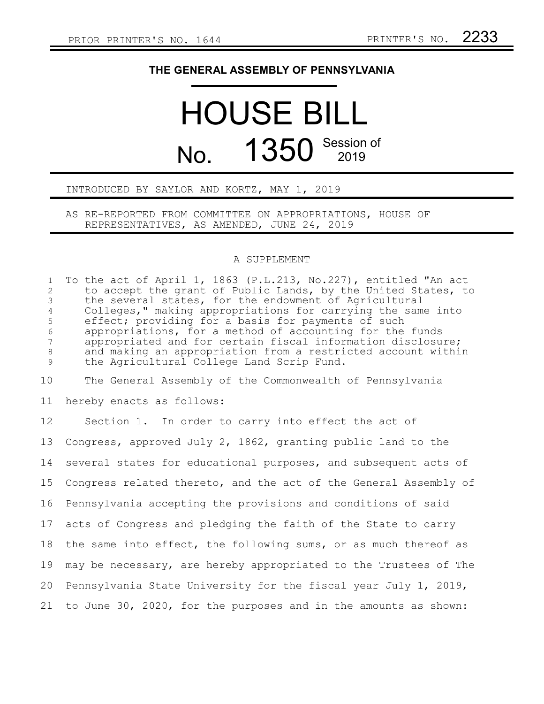## **THE GENERAL ASSEMBLY OF PENNSYLVANIA**

## HOUSE BILL No. 1350 Session of

## INTRODUCED BY SAYLOR AND KORTZ, MAY 1, 2019

AS RE-REPORTED FROM COMMITTEE ON APPROPRIATIONS, HOUSE OF REPRESENTATIVES, AS AMENDED, JUNE 24, 2019

## A SUPPLEMENT

| $\mathbf{1}$<br>$\overline{2}$<br>$\mathfrak{Z}$<br>$\overline{4}$<br>5<br>$6\,$<br>$7\phantom{.0}$<br>$\,8\,$<br>9 | To the act of April 1, 1863 (P.L.213, No.227), entitled "An act<br>to accept the grant of Public Lands, by the United States, to<br>the several states, for the endowment of Agricultural<br>Colleges," making appropriations for carrying the same into<br>effect; providing for a basis for payments of such<br>appropriations, for a method of accounting for the funds<br>appropriated and for certain fiscal information disclosure;<br>and making an appropriation from a restricted account within<br>the Agricultural College Land Scrip Fund. |
|---------------------------------------------------------------------------------------------------------------------|--------------------------------------------------------------------------------------------------------------------------------------------------------------------------------------------------------------------------------------------------------------------------------------------------------------------------------------------------------------------------------------------------------------------------------------------------------------------------------------------------------------------------------------------------------|
| 10                                                                                                                  | The General Assembly of the Commonwealth of Pennsylvania                                                                                                                                                                                                                                                                                                                                                                                                                                                                                               |
| 11                                                                                                                  | hereby enacts as follows:                                                                                                                                                                                                                                                                                                                                                                                                                                                                                                                              |
| 12                                                                                                                  | Section 1. In order to carry into effect the act of                                                                                                                                                                                                                                                                                                                                                                                                                                                                                                    |
| 13                                                                                                                  | Congress, approved July 2, 1862, granting public land to the                                                                                                                                                                                                                                                                                                                                                                                                                                                                                           |
| 14                                                                                                                  | several states for educational purposes, and subsequent acts of                                                                                                                                                                                                                                                                                                                                                                                                                                                                                        |
| 15                                                                                                                  | Congress related thereto, and the act of the General Assembly of                                                                                                                                                                                                                                                                                                                                                                                                                                                                                       |
| 16                                                                                                                  | Pennsylvania accepting the provisions and conditions of said                                                                                                                                                                                                                                                                                                                                                                                                                                                                                           |
| 17                                                                                                                  | acts of Congress and pledging the faith of the State to carry                                                                                                                                                                                                                                                                                                                                                                                                                                                                                          |
| 18                                                                                                                  | the same into effect, the following sums, or as much thereof as                                                                                                                                                                                                                                                                                                                                                                                                                                                                                        |
| 19                                                                                                                  | may be necessary, are hereby appropriated to the Trustees of The                                                                                                                                                                                                                                                                                                                                                                                                                                                                                       |
| 20                                                                                                                  | Pennsylvania State University for the fiscal year July 1, 2019,                                                                                                                                                                                                                                                                                                                                                                                                                                                                                        |
| 21                                                                                                                  | to June 30, 2020, for the purposes and in the amounts as shown:                                                                                                                                                                                                                                                                                                                                                                                                                                                                                        |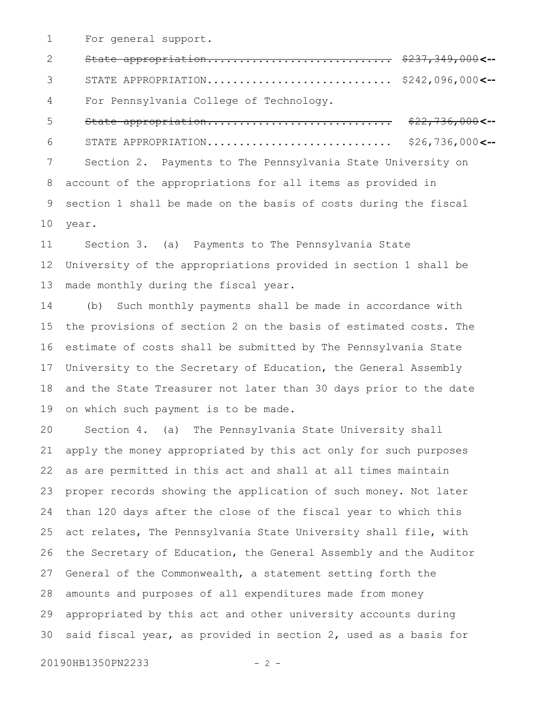For general support. 1

5

State appropriation............................. \$237,349,000 **<--** STATE APPROPRIATION............................. \$242,096,000 **<--** For Pennsylvania College of Technology. 2 3 4

State appropriation............................. \$22,736,000 **<--** STATE APPROPRIATION.............................. Section 2. Payments to The Pennsylvania State University on account of the appropriations for all items as provided in section 1 shall be made on the basis of costs during the fiscal year. \$26,736,000**<--**6 7 8 9 10

Section 3. (a) Payments to The Pennsylvania State University of the appropriations provided in section 1 shall be made monthly during the fiscal year. 11 12 13

(b) Such monthly payments shall be made in accordance with the provisions of section 2 on the basis of estimated costs. The estimate of costs shall be submitted by The Pennsylvania State University to the Secretary of Education, the General Assembly and the State Treasurer not later than 30 days prior to the date on which such payment is to be made. 14 15 16 17 18 19

Section 4. (a) The Pennsylvania State University shall apply the money appropriated by this act only for such purposes as are permitted in this act and shall at all times maintain proper records showing the application of such money. Not later than 120 days after the close of the fiscal year to which this act relates, The Pennsylvania State University shall file, with the Secretary of Education, the General Assembly and the Auditor General of the Commonwealth, a statement setting forth the amounts and purposes of all expenditures made from money appropriated by this act and other university accounts during said fiscal year, as provided in section 2, used as a basis for 20 21 22 23 24 25 26 27 28 29 30

20190HB1350PN2233 - 2 -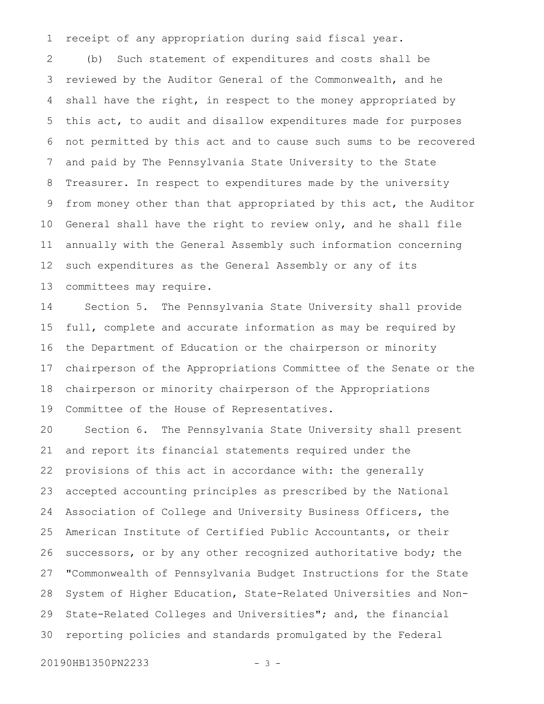receipt of any appropriation during said fiscal year. 1

(b) Such statement of expenditures and costs shall be reviewed by the Auditor General of the Commonwealth, and he shall have the right, in respect to the money appropriated by this act, to audit and disallow expenditures made for purposes not permitted by this act and to cause such sums to be recovered and paid by The Pennsylvania State University to the State Treasurer. In respect to expenditures made by the university from money other than that appropriated by this act, the Auditor General shall have the right to review only, and he shall file annually with the General Assembly such information concerning such expenditures as the General Assembly or any of its committees may require. 2 3 4 5 6 7 8 9 10 11 12 13

Section 5. The Pennsylvania State University shall provide full, complete and accurate information as may be required by the Department of Education or the chairperson or minority chairperson of the Appropriations Committee of the Senate or the chairperson or minority chairperson of the Appropriations Committee of the House of Representatives. 14 15 16 17 18 19

Section 6. The Pennsylvania State University shall present and report its financial statements required under the provisions of this act in accordance with: the generally accepted accounting principles as prescribed by the National Association of College and University Business Officers, the American Institute of Certified Public Accountants, or their successors, or by any other recognized authoritative body; the "Commonwealth of Pennsylvania Budget Instructions for the State System of Higher Education, State-Related Universities and Non-State-Related Colleges and Universities"; and, the financial reporting policies and standards promulgated by the Federal 20 21 22 23 24 25 26 27 28 29 30

20190HB1350PN2233 - 3 -